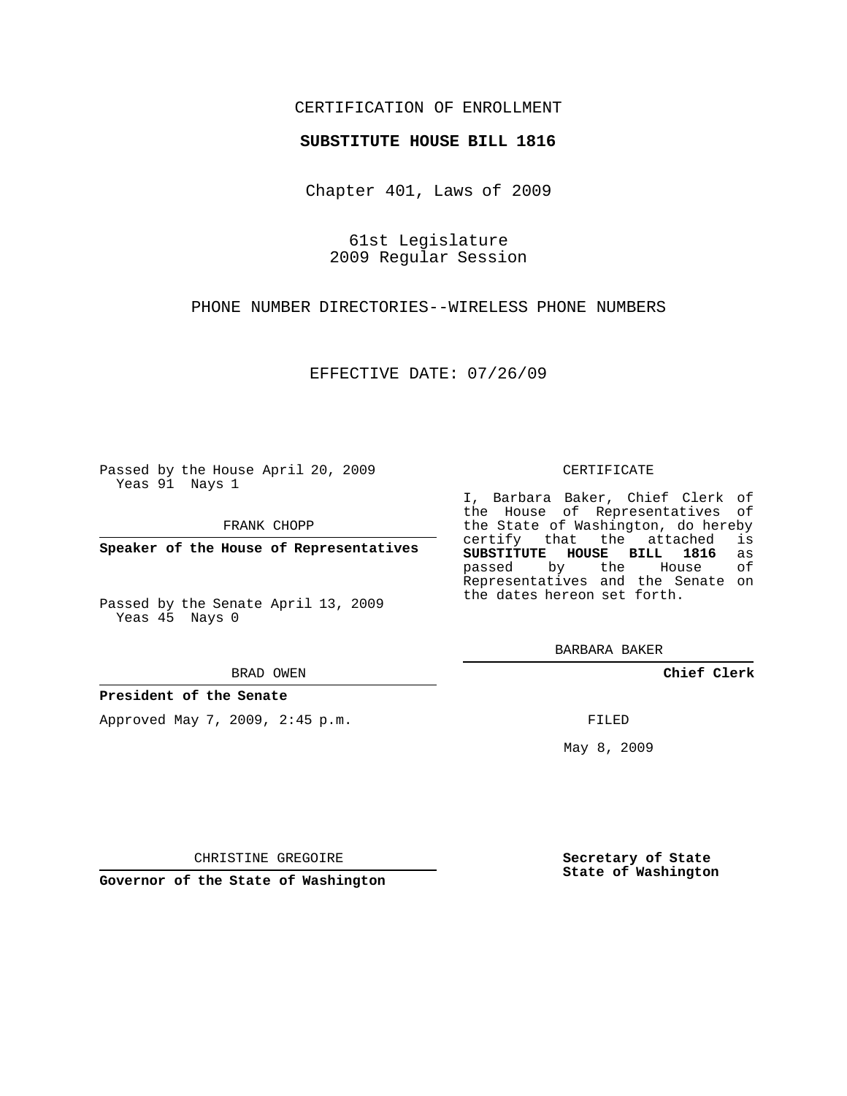## CERTIFICATION OF ENROLLMENT

### **SUBSTITUTE HOUSE BILL 1816**

Chapter 401, Laws of 2009

61st Legislature 2009 Regular Session

PHONE NUMBER DIRECTORIES--WIRELESS PHONE NUMBERS

EFFECTIVE DATE: 07/26/09

Passed by the House April 20, 2009 Yeas 91 Nays 1

FRANK CHOPP

**Speaker of the House of Representatives**

Passed by the Senate April 13, 2009 Yeas 45 Nays 0

#### BRAD OWEN

### **President of the Senate**

Approved May 7, 2009, 2:45 p.m.

#### CERTIFICATE

I, Barbara Baker, Chief Clerk of the House of Representatives of the State of Washington, do hereby<br>certify that the attached is certify that the attached **SUBSTITUTE HOUSE BILL 1816** as passed by the House of Representatives and the Senate on the dates hereon set forth.

BARBARA BAKER

**Chief Clerk**

FILED

May 8, 2009

**Secretary of State State of Washington**

CHRISTINE GREGOIRE

**Governor of the State of Washington**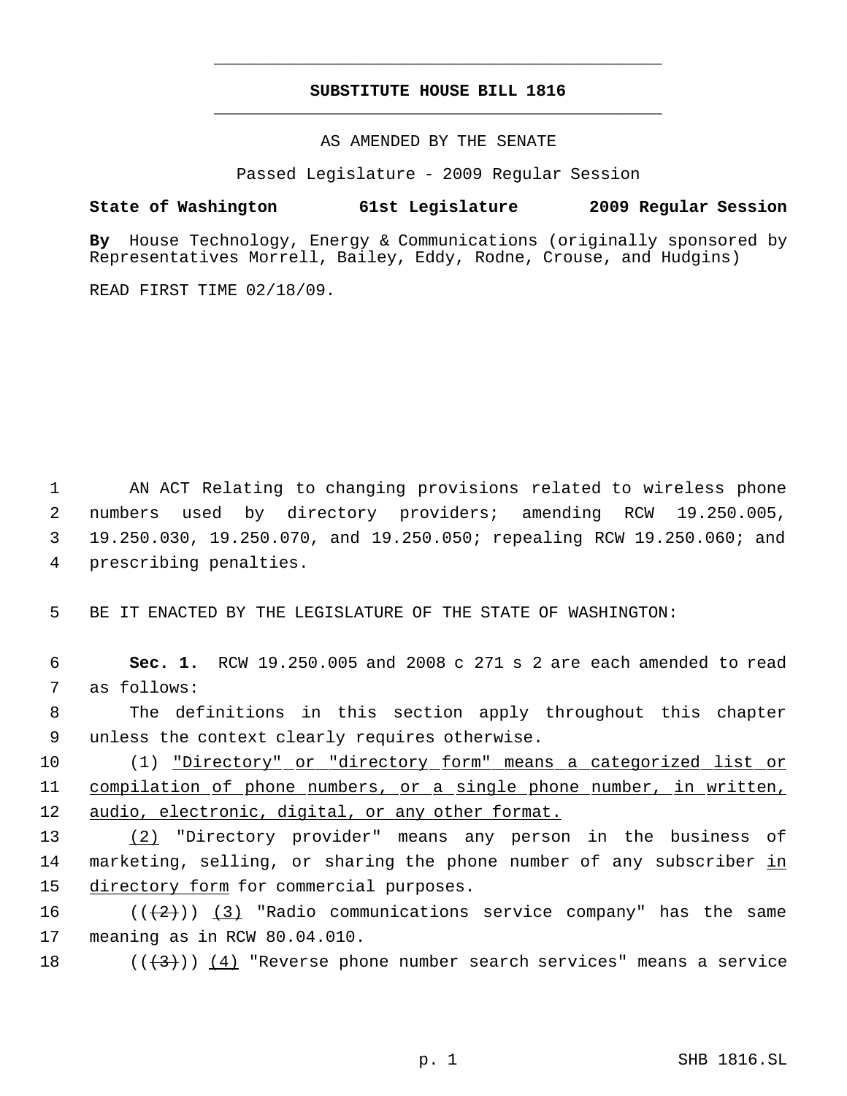# **SUBSTITUTE HOUSE BILL 1816** \_\_\_\_\_\_\_\_\_\_\_\_\_\_\_\_\_\_\_\_\_\_\_\_\_\_\_\_\_\_\_\_\_\_\_\_\_\_\_\_\_\_\_\_\_

\_\_\_\_\_\_\_\_\_\_\_\_\_\_\_\_\_\_\_\_\_\_\_\_\_\_\_\_\_\_\_\_\_\_\_\_\_\_\_\_\_\_\_\_\_

AS AMENDED BY THE SENATE

Passed Legislature - 2009 Regular Session

# **State of Washington 61st Legislature 2009 Regular Session**

**By** House Technology, Energy & Communications (originally sponsored by Representatives Morrell, Bailey, Eddy, Rodne, Crouse, and Hudgins)

READ FIRST TIME 02/18/09.

 AN ACT Relating to changing provisions related to wireless phone numbers used by directory providers; amending RCW 19.250.005, 19.250.030, 19.250.070, and 19.250.050; repealing RCW 19.250.060; and prescribing penalties.

5 BE IT ENACTED BY THE LEGISLATURE OF THE STATE OF WASHINGTON:

 6 **Sec. 1.** RCW 19.250.005 and 2008 c 271 s 2 are each amended to read 7 as follows:

 8 The definitions in this section apply throughout this chapter 9 unless the context clearly requires otherwise.

10 (1) "Directory" or "directory form" means a categorized list or 11 compilation of phone numbers, or a single phone number, in written, 12 audio, electronic, digital, or any other format.

13 (2) "Directory provider" means any person in the business of 14 marketing, selling, or sharing the phone number of any subscriber in 15 directory form for commercial purposes.

16  $((+2))$   $(3)$  "Radio communications service company" has the same 17 meaning as in RCW 80.04.010.

18 ( $(\langle 3 \rangle)$   $(4)$  "Reverse phone number search services" means a service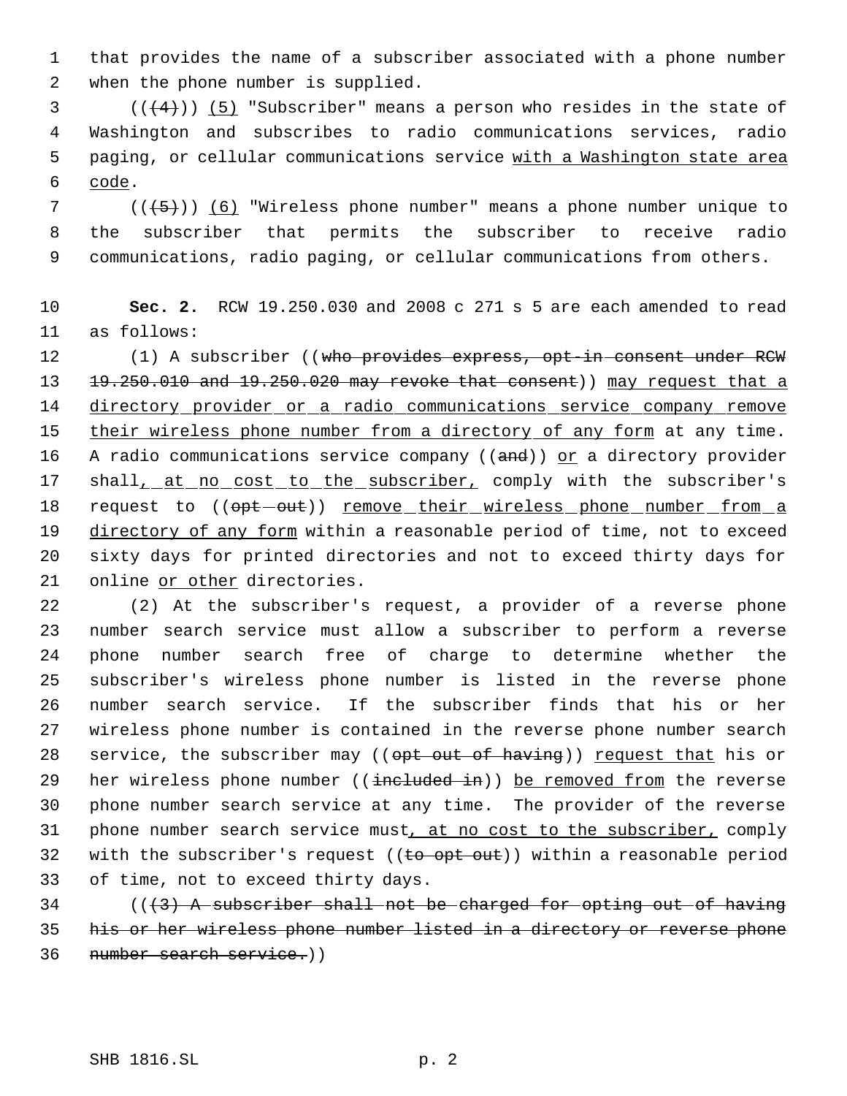1 that provides the name of a subscriber associated with a phone number 2 when the phone number is supplied.

 $((+4))$   $(5)$  "Subscriber" means a person who resides in the state of Washington and subscribes to radio communications services, radio paging, or cellular communications service with a Washington state area  $6$  code.

7 ( $(\overline{\smash{+5}})$ ) (6) "Wireless phone number" means a phone number unique to 8 the subscriber that permits the subscriber to receive radio 9 communications, radio paging, or cellular communications from others.

10 **Sec. 2.** RCW 19.250.030 and 2008 c 271 s 5 are each amended to read 11 as follows:

12 (1) A subscriber ((who provides express, opt-in-consent under RCW 13 19.250.010 and 19.250.020 may revoke that consent)) may request that a 14 directory provider or a radio communications service company remove 15 their wireless phone number from a directory of any form at any time. 16 A radio communications service company (( $\theta$ nd)) or a directory provider 17 shall, at no cost to the subscriber, comply with the subscriber's 18 request to ((opt-out)) remove their wireless phone number from a 19 directory of any form within a reasonable period of time, not to exceed 20 sixty days for printed directories and not to exceed thirty days for 21 online or other directories.

 (2) At the subscriber's request, a provider of a reverse phone number search service must allow a subscriber to perform a reverse phone number search free of charge to determine whether the subscriber's wireless phone number is listed in the reverse phone number search service. If the subscriber finds that his or her wireless phone number is contained in the reverse phone number search 28 service, the subscriber may ((opt out of having)) request that his or 29 her wireless phone number ((included in)) be removed from the reverse phone number search service at any time. The provider of the reverse 31 phone number search service must, at no cost to the subscriber, comply 32 with the subscriber's request ((to opt out)) within a reasonable period of time, not to exceed thirty days.

 $34$  ( $(\overline{3})$  A subscriber shall not be charged for opting out of having 35 his or her wireless phone number listed in a directory or reverse phone 36 number search service.))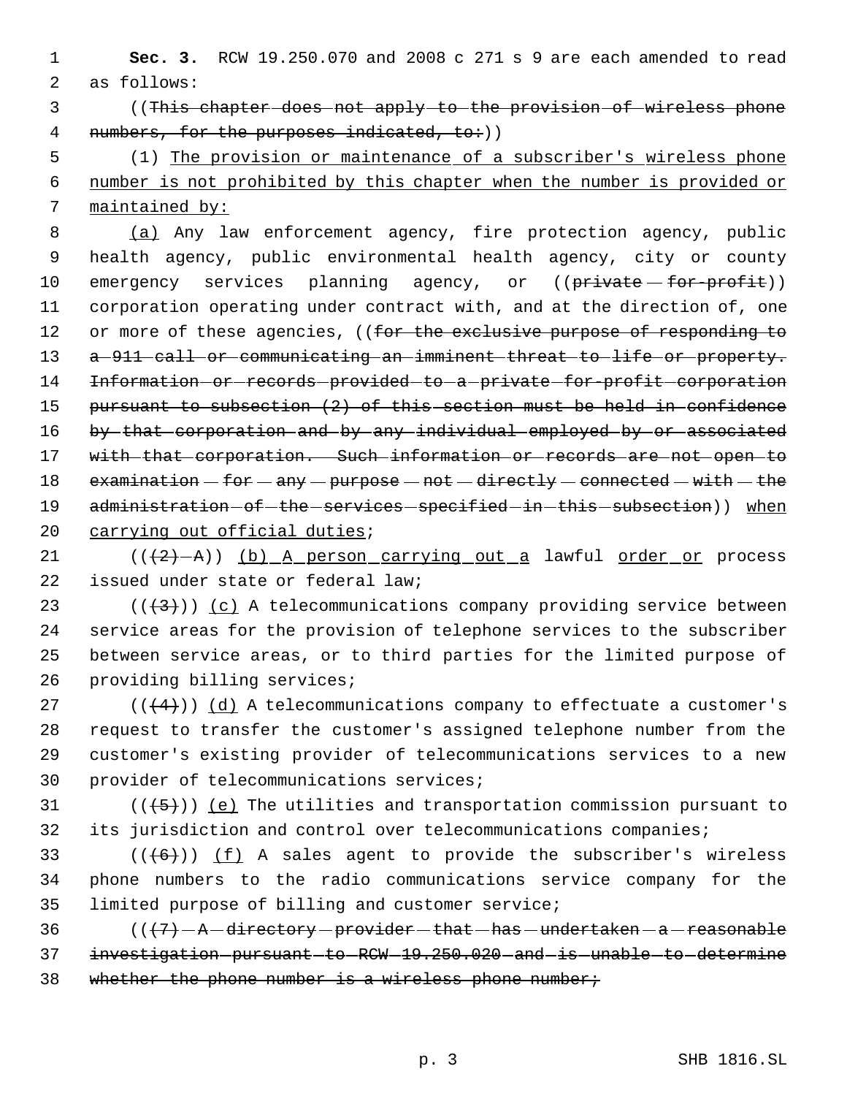1 **Sec. 3.** RCW 19.250.070 and 2008 c 271 s 9 are each amended to read 2 as follows:

 3 ((This chapter does not apply to the provision of wireless phone 4 numbers, for the purposes indicated, to:))

 5 (1) The provision or maintenance of a subscriber's wireless phone 6 number is not prohibited by this chapter when the number is provided or 7 maintained by:

 8 (a) Any law enforcement agency, fire protection agency, public 9 health agency, public environmental health agency, city or county 10 emergency services planning agency, or ((private for-profit)) 11 corporation operating under contract with, and at the direction of, one 12 or more of these agencies, ((for the exclusive purpose of responding to 13 a 911 call or communicating an imminent threat to life or property. 14 Information-or-records-provided-to-a-private-for-profit-corporation 15 pursuant to subsection (2) of this section must be held in confidence 16 by that corporation and by any individual employed by or associated 17 with that corporation. Such information or records are not open to 18  $examination - for - any - purpose - not - directly - connected - with - the$ 19 administration of the services specified in this subsection)) when 20 carrying out official duties;

 $(1)$   $((+2)-A)$ ) (b) A person carrying out a lawful order or process 22 issued under state or federal law;

23 ( $(\frac{43}{})$ ) (c) A telecommunications company providing service between service areas for the provision of telephone services to the subscriber between service areas, or to third parties for the limited purpose of providing billing services;

27 ( $(\overline{4})$ ) (d) A telecommunications company to effectuate a customer's request to transfer the customer's assigned telephone number from the customer's existing provider of telecommunications services to a new provider of telecommunications services;

31 ( $(\overline{\{5\}})$ ) <u>(e)</u> The utilities and transportation commission pursuant to 32 its jurisdiction and control over telecommunications companies;

33  $((+6))$   $(f)$  A sales agent to provide the subscriber's wireless 34 phone numbers to the radio communications service company for the 35 limited purpose of billing and customer service;

36  $((+7)-A-directory-provider-that—has—undertaken-a-resonable)$ 37 investigation-pursuant-to-RCW-19.250.020-and-is-unable-to-determine 38 whether the phone number is a wireless phone number;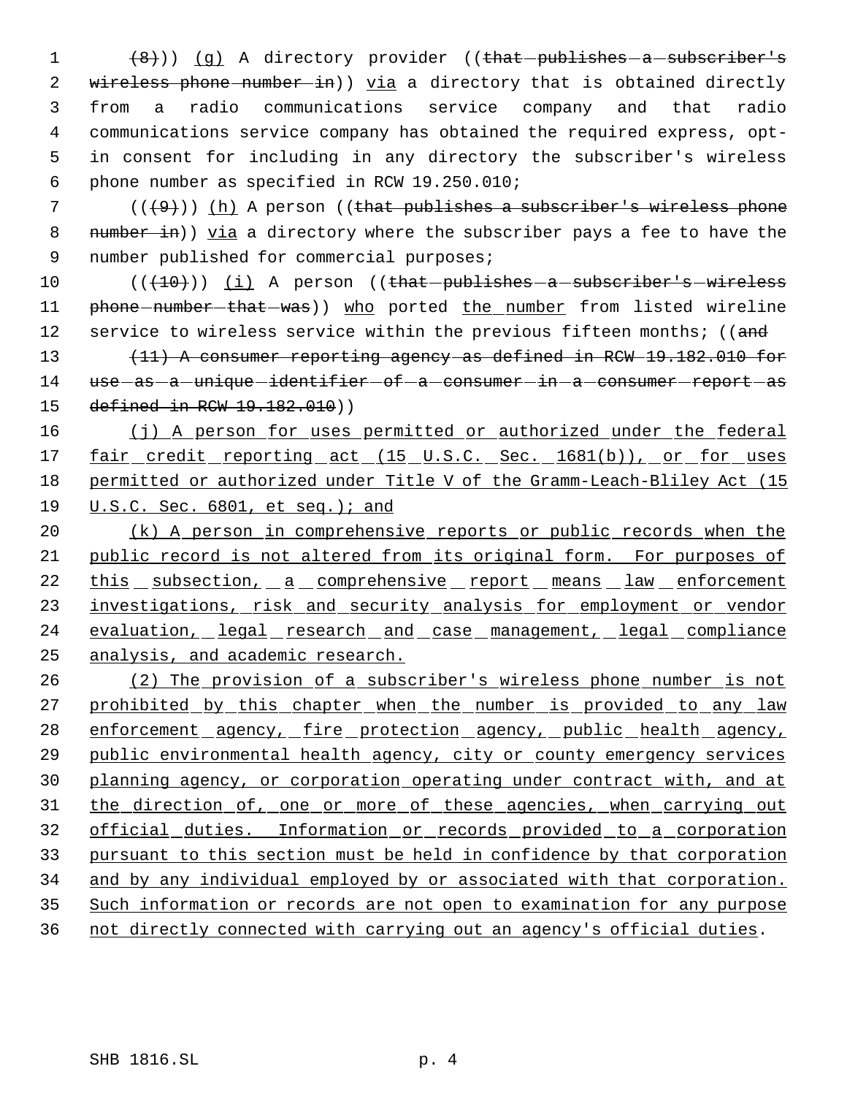1 (8))) (g) A directory provider ((that publishes - a subscriber's 2 wireless phone number in)) via a directory that is obtained directly from a radio communications service company and that radio communications service company has obtained the required express, opt- in consent for including in any directory the subscriber's wireless phone number as specified in RCW 19.250.010;

7  $((+9))$  (h) A person ((that publishes a subscriber's wireless phone 8 number in)) yia a directory where the subscriber pays a fee to have the 9 number published for commercial purposes;

10 (( $(10)$ )) (i) A person ((that -publishes - a -subscriber's -wireless 11 phone-number-that-was)) who ported the number from listed wireline 12 service to wireless service within the previous fifteen months; ((and

13 (11) A consumer reporting agency as defined in RCW 19.182.010 for 14 use - as - a - unique - identifier - of - a - consumer - in - a - consumer - report - as 15 defined in RCW 19.182.010))

16 (j) A person for uses permitted or authorized under the federal 17 fair credit reporting act (15 U.S.C. Sec. 1681(b)), or for uses 18 permitted or authorized under Title V of the Gramm-Leach-Bliley Act (15 19 U.S.C. Sec. 6801, et seq.); and

20 (k) A person in comprehensive reports or public records when the 21 public record is not altered from its original form. For purposes of 22 this subsection, a comprehensive report means law enforcement 23 investigations, risk and security analysis for employment or vendor 24 evaluation, legal research and case management, legal compliance 25 analysis, and academic research.

 (2) The provision of a subscriber's wireless phone number is not 27 prohibited by this chapter when the number is provided to any law 28 enforcement agency, fire protection agency, public health agency, public environmental health agency, city or county emergency services planning agency, or corporation operating under contract with, and at 31 the direction of, one or more of these agencies, when carrying out official duties. Information or records provided to a corporation pursuant to this section must be held in confidence by that corporation and by any individual employed by or associated with that corporation. Such information or records are not open to examination for any purpose not directly connected with carrying out an agency's official duties.